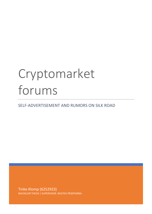# Cryptomarket forums

SELF-ADVERTISEMENT AND RUMORS ON SILK ROAD

Tinke Klomp (6252923) BACHELOR THESIS | SUPERVISOR: WOJTEK PRZEPIORKA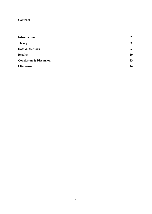# **Contents**

| $\overline{2}$ |
|----------------|
| 3              |
| 6              |
| 10             |
| 13             |
| 16             |
|                |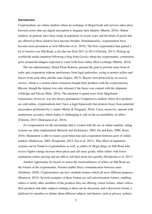#### **Introduction**

Cryptomarkets are online markets where an exchange of illegal foods and services takes place between actors that use digital encryption to disguise their identity (Martin, 2014). Online markets, in general, have been rising in popularity in recent years and the kinds of goods that are offered on these markets have become broader. Simultaneously, cryptomarkets have become more prominent as well (Morelato et al., 2018). The first cryptomarket that gained a lot of renown was Silk Road, a site that ran from 2011 to 2013 (Christin, 2013). Picking up worldwide media attention following a blog from *Gawker* about the cryptomarket, commotion grew around the dangers expected to come forth from online illicit exchange (Martin, 2014).

 The site administrator, Dread Pirate Roberts, pursued the goal to provide some form of order and cooperation without interference from legal authorities, trying to protect sellers and buyers from each other and the state (Zajácz, 2017). Buyers were protected by an escrow service, which is a system where customers bought their products with the cryptocurrency Bitcoin, though the deposit was only released if the buyer was content with the shipment (Aldridge and Décary-Hétu, 2014). The intention to guard users from illegitimate transactions, however, was not always guaranteed. Compared to markets where licit products are sold online, cryptomarkets don't have a legal framework that protects buyer from potential misconduct performed by a vendor (Hardy & Norgaard, 2016). Users, moreover, operate with anonymous accounts, which makes it challenging to call on the accountability of sellers (Christin, 2013; Diekmann et al., 2014).

 As compensation for the uncertainty that is created with the use of online markets, rating systems are often implemented (Resnick and Zeckhauser, 2002; Jin and Kato, 2006; Sears, 2016). Reputation is able to ensure good behaviour and cooperation between users of online markets (Dellarocas, 2003; Przepiorka, 2013; Jiao et al. 2021). This effect of reputation systems can be found in cryptomarkets as well, as sellers of illegal drugs on Silk Road who receive higher ratings increase their prices and sell more goods, while sellers with lower reputations reduce pricing and are able to sell their items less quickly (Przepiorka et al. 2017).

 Another opportunity for buyers to assess the trustworthiness of sellers on Silk Road are the forums of the cryptomarket. Forums enable direct communication between users (Norbutas, 2020). Cryptomarkets can have multiple forums which all serve different purposes (Branwen, 2015). Several examples of these forums are self-advertisement forums, enabling sellers to notify other members of the products they are offering, rumor forums, where sellers, their products and other subjects relating to them can be discussed, and a discussion forum, a platform for members to debate about different subjects and themes, such as privacy, politics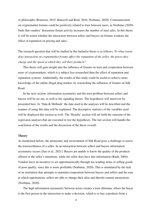or philosophy (Branwen, 2015; Bancroft and Reid, 2016; Norbutas, 2020). Communication on cryptomarket forums could be positively related to trust between users, as Norbutas (2020) finds that vendors' discussion forum activity increases the number of item sales. In this thesis it will be tested whether the interaction between sellers and buyers on forums weakens the effect of reputation on pricing and sales.

The research question that will be studied in this bachelor thesis is as follows: *To what extent does interaction on cryptomarket forums affect the reputation of the seller, the prices they charge and the speed at which they sell their products?* 

 This thesis will gain insight into the influence of forums on trust and cooperation between users of cryptomarkets, which is a subject less researched than the effect of reputation and reputation systems. Additionally, the results of this study could be useful to achieve more knowledge of the online illegal drug market, by researching the influence of forums on Silk Road.

 In the next section, information asymmetry and the trust problem between sellers and buyers will be set out, as well as the signaling theory. The hypotheses will moreover be presented here. In 'Data & Methods' the data used in the analyses will be described and the manner of using this data will be explained. The descriptive statistics of the variables used will be displayed this section as well. The 'Results' section will set forth the outcome of the regression analyses that are executed to test the hypotheses. The last section will handle the conclusion of the results and the discussion of the thesis overall.

## **Theory**

As mentioned before, the anonymity and environment of Silk Road pose a challenge to assess the trustworthiness of a seller. In an interaction between sellers and buyers information asymmetry occurs (Jiao et al., 2021). Buyers are unable to know the quality of the products offered or the seller's intentions, while the seller does have this information (Raub, 2004). Vendors have an incentive to act opportunistically through not sending items or selling goods of poor quality, since this is more profitable (Norbutas, 2020). This is stimulated by the lack of an institution that attempts to maintain cooperation between buyers and sellers and the ease at which opportunistic sellers are able to change their alias and thereby remain anonymous (Norbutas, 2020).

 The high information asymmetry between actors creates a trust dilemma, where the buyer is the first person in the interaction to make a decision, which is to buy a products from a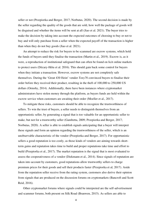seller or not (Przepiorka and Berger, 2017; Norbutas, 2020). The second decision is made by the seller regarding the quality of the goods that are sold, how well the package of goods will be disguised and whether the items will be sent at all (Jiao et al. 2021). The buyer tries to make the decision by taking into account the expected outcomes of choosing to buy or not to buy and will only purchase from a seller when the expected payoff of the transaction is higher than when they do not buy goods (Jiao et al. 2021).

An attempt to reduce the risk for buyers to be scammed are escrow systems, which hold the funds of buyers until they finalise the transaction (Martin et al., 2019). Escrow is, as it were, a reproduction of institutional safeguard that can often be found on licit online markets to protect users (Décary-Hétu et al. 2016). This should gain back some control for buyers when they initiate a transaction. However, escrow systems are not completely safe themselves. During the 'Great 430 Heist' vendor *Tony76* convinced buyers to finalise their order before they received their product, resulting in the theft of 100,000 to 250,000 US dollars (Ormsby, 2014). Additionally, there have been instances where cryptomarket administrators have stolen money through the platform, as buyers funds are held within the escrow service when customers are awaiting their order (Moeller et al., 2017).

To mitigate these risks, customers should be able to recognize the trustworthiness of sellers. To win the trust of buyers, a seller needs to distinguish themselves from an opportunistic seller, by generating a signal that is too valuable for an opportunistic seller to make, but not for a trustworthy seller (Gambetta, 2009; Przepiorka and Berger, 2017; Norbutas, 2020). A seller is able to establish signals anticipating that a buyer will interpret these signals and form an opinion regarding the trustworthiness of the seller, which is an unobservable characteristic of the vendor (Przepiorka and Berger, 2017). For opportunistic sellers a good reputation is too costly, as those kinds of vendors are aiming towards shortterm gains and reputation takes time to build and proper reputations take time and effort to build (Przepiorka et al., 2017). The market reputation is the signal that is most evaluated to assess the cooperativeness of a vendor (Diekmann et al., 2014). Since signals of reputation are taken into account by customers, good reputations allow trustworthy sellers to charge premium prices for their goods and sell their products faster (Przepiorka et al, 2017). Aside from the reputation seller receive from the rating system, customers also derive their opinion from signals that are produced on the discussion forums on cryptomarkets (Bancroft and Scott Reid, 2016).

Other cryptomarket forums where signals could be interpreted are the self-advertisement and scammer forums, both present on Silk Road (Branwen, 2015). As sellers are able to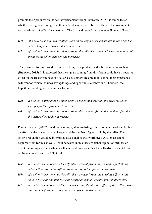promote their products on the self-advertisement forum (Branwen, 2015), it can be tested whether the signals coming from these advertisements are able to influence the assessment of trustworthiness of sellers by customers. The first and second hypotheses will be as follows:

- *H1: If a seller is mentioned by other users on the self-advertisement forum, the price the seller charges for their products increases.*
- *H2: If a seller is mentioned by other users on the self-advertisement forum, the number of products the seller sells per day increases.*

 The scammer forum is used to discuss sellers, their products and subjects relating to them (Branwen, 2015). It is expected that the signals coming from this forum could have a negative effect on the trustworthiness of a seller, as customers are able to talk about their experience with vendor, which includes wrongdoings and opportunistic behaviour. Therefore, the hypotheses relating to the scammer forum are:

- *H3: If a seller is mentioned by other users on the scammer forum, the price the seller charges for their products decreases.*
- *H4:**If a seller is mentioned by other users on the scammer forum, the number of products the seller sells per day decreases.*

Przepiorka et al. (2017) found that a rating system to distinguish the reputation of a seller has an effect on the prices that are charged and the number of goods sold by the seller. The seller's reputation could be interpreted as a signal of trustworthiness. As signals can be acquired from forums as well, it will be tested in this thesis whether reputation still has an effect on pricing and sales when a seller is mentioned on either the self-advertisement forum or the scammer forum on Silk Road.

- *H5: If a seller is mentioned on the self-advertisement forum, the absolute effect of this seller's five-star and non-five-star ratings on prices per gram decreases.*
- *H6: If a seller is mentioned on the self-advertisement forum, the absolute effect of this seller's five-star and non-five-star ratings on amount of sales per day decreases.*
- *H7: If a seller is mentioned on the scammer forum, the absolute effect of this seller's fivestar and non-five-star ratings on prices per gram decreases.*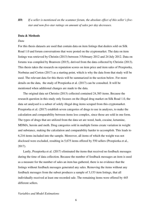*H8: If a seller is mentioned on the scammer forum, the absolute effect of this seller's fivestar and non-five-star ratings on amount of sales per day decreases.*

## **Data & Methods**

#### *Data*

For this thesis datasets are used that contain data on item listings that dealers sold on Silk Road 1.0 and forum conversations that were posted on the cryptomarket. The data on item listings was retrieved by Christin (2013) between 3 February 2012 and 24 July 2012. Data on forums was compiled by Branwen (2015), derived from the data collected by Christin (2013). This thesis takes the research on reputation scores on item price and item sales of Przepiorka, Norbutas and Corten (2017) as a starting point, which is why the data from that study will be used. The relevant data for this thesis will be summarized in the section below. For more details on the data, the study of Przepiorka et al. (2017) can be consulted. It will be mentioned when additional changes are made to the data.

 The original data set Christin (2013) collected contained 24,385 items. Because the research question in this study only focuses on the illegal drug market on Silk Road 1.0, the data set analysed is a subset of solely illegal drug items scraped from this cryptomarket. Przepiorka et al. (2017) establish seven categories of drugs to use in analyses, to make the calculation and comparability between items less complex, since those are sold in one form. The types of drugs that are utilized from the data set are weed, hash, cocaine, ketamine, MDMA, heroin and meth. Drug categories sold in multiple forms create variation in weight and substance, making the calculation and comparability harder to accomplish. This leads to 6,216 items included into the sample. Moreover, all items of which the weight was not disclosed were excluded, resulting in 5,675 items offered by 550 sellers (Przepiorka et al., 2017).

 Lastly, Przepiorka et al. (2017) eliminated the items that received no feedback messages during the time of data collection. Because the number of feedback messages an item is used as a measure for the number of sales an item has gathered, there is no evidence that the listings without feedback messages generated any sales. Removing the items without any feedback messages from the subset produces a sample of 3,153 item listings, that all individually received at least one recorded sale. The remaining items were offered by 445 different sellers.

*Variables and Model Estimations*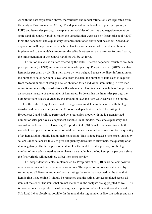As with the data explanation above, the variables and model estimations are replicated from the study of Przepiorka et al. (2017). The dependent variables of item price per gram (in USD) and item sales per day, the explanatory variables of positive and negative reputation scores and all control variables match the variables that were used by Przepiorka et al. (2017). First, the dependent and explanatory variables mentioned above will be set out. Second, an explanation will be provided of which explanatory variables are added and how these are implemented to the models to represent the self-advertisement and scammer forums. Lastly, the implementation of the control variables will be set forth.

The unit of analysis is an item offered by the seller. The two dependent variables are item price per gram (in USD) and number of item sales per day. Przepiorka et al. (2017) calculate item price per gram by dividing item price by item weight. Because no direct information on the number of sales per item is available from the data, the number of item sales is acquired from the total number of ratings a seller obtained for an individual item listing. A five-star rating is automatically awarded to a seller when a purchase is made, which therefore provides an accurate measure of the number of item sales. To determine the item sales per day, the number of item sales is divided by the amount of days the item was recorded to be online.

 For the tests of Hypotheses 1 and 3, a regression model is implemented with the logtransformed item price per gram (in USD) as the dependent variable. The testing of Hypotheses 2 and 4 will be performed by a regression model with the log-transformed number of sales per day as a dependent variable. In all models, the same explanatory and control variables are used. However, Przepiorka et al. (2017) make two exceptions. In the model of item price the log number of total item sales is adopted as a measure for the quantity of an item a seller initially had in their possession. This is done because item prices are set by sellers. Since sellers are likely to give out quantity discounts to customers, the quantity of an item negatively affects the price of an item. For the model of sales per day, not the log number of item sales is used as an explanatory variable, but the log item price per gram since the first variable will negatively affect item price per day.

 The independent variables implemented by Przepiorka et al. (2017) are sellers' positive reputation scores and negative reputation scores. The reputation scores are calculated by summing up all five-star and non-five-star ratings the seller has received by the time their item is first listed online. It should be remarked that the ratings are accumulated across all items of the seller. The items that are not included in the analyses are aggregated as well. This is done to create a reproduction of the aggregate reputation of a seller as it was displayed in Silk Road 1.0 as closely as possible. In the model, the log number of five-star ratings and as a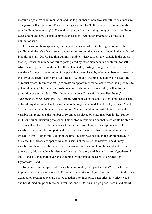measure of positive seller reputation and the log number of non-five-star ratings as a measure of negative seller reputation. Five-star ratings account for 95.8 per cent of all ratings in the sample. Przepiorka et al. (2017) mention that non-five-star ratings are given in extraordinary cases and might have a negative impact on a seller's reputation irrespective of the actual number of stars.

 Furthermore, two explanatory dummy variables are added to the regression models in parallel with the self-advertisement and scammer forum, that are not included in the models of Przepiorka et al. (2017). The first dummy variable is derived from the variable in the dataset that represents the number of forum posts placed by other members in a subforum for selfadvertisement, discussing the seller. It is calculated by distinguishing whether a seller is mentioned or not in one or more of the posts that were placed by other members on threads in the "Product offers" subforum of Silk Road 1.0, up until the time the item was posted. The "Product offers" forum was set up to create an opportunity for sellers to offer their products to potential buyers. The members' posts are comments on threads opened by sellers for the promotion of their products. This dummy variable will henceforth be called the *selfadvertisement forum variable*. The variable will be used in the analyses for Hypotheses 1 and 2, by adding it as an explanatory variable to the regression model, and for Hypotheses 5 and 6, as a moderation with the reputation scores. The second dummy variable is based on the variable that represents the number of forum posts placed by other members in the "Rumor mill" subforum, discussing the seller. This subforum was set up so that users would be able to discuss sellers, their products or other topics related to sellers on the cryptomarket. The variable is measured by computing all posts by other members that mention the seller on threads in this "Rumor mill", up until the time the item was posted on the cryptomarket. In this case, the threads are opened by other users, not the seller themselves. The dummy variable will henceforth be called the *scammer forum variable*. Like the variable described previously, this variable is implemented as an explanatory variable at first, for Hypotheses 3 and 4, and as a moderation variable combined with reputation scores afterwards, for Hypotheses 7 and 8.

 In the models multiple control variables are used by Przepiorka et al. (2017), which are implemented in this study as well. The seven categories of illegal drugs, introduced in the data explanation section above, are pooled together into three price categories: low price (weed and hash), medium price (cocaine, ketamine, and MDMA) and high price (heroin and meth).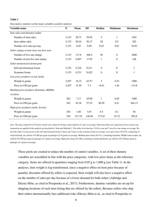#### **Table 1**

*Descriptive statistics of the main variables used for analysis* 

| Variable name                              | $\mathbf N$ | <b>Mean</b> | <b>SD</b> | <b>Median</b>    | <b>Minimum</b>   | <b>Maximum</b> |
|--------------------------------------------|-------------|-------------|-----------|------------------|------------------|----------------|
| Item sales and duration online             |             |             |           |                  |                  |                |
| Number of item sales                       | 3,153       | 20.73       | 58.95     | 5                | 1                | 1501           |
| Item online sales                          | 3,153       | 50.44       | 56.17     | 28               | 0.5              | 382            |
| Number of it sales per day                 | 3,153       | 0.45        | 0.69      | 0.25             | 0.01             | 10.83          |
| Seller ratings at time item was first seen |             |             |           |                  |                  |                |
| Number of five-star ratings                | 3,153       | 117.8       | 306.2     | 56               | $\boldsymbol{0}$ | 2600           |
| Number of non-five-star ratings            | 3,153       | 6.807       | 17.05     | 1                | $\boldsymbol{0}$ | 148            |
| Seller mentioned in forum post             |             |             |           |                  |                  |                |
| Self-advertisement forum                   | 3,153       | 0.216       | 0.411     | $\boldsymbol{0}$ | $\boldsymbol{0}$ | $\mathbf{1}$   |
| Scammer forum                              | 3,153       | 0.231       | 0.422     | $\mathbf{0}$     | $\boldsymbol{0}$ | 1              |
| Low-price products (weed, hash)            |             |             |           |                  |                  |                |
| Weight in grams                            | 2,297       | 18.15       | 63.57     | 5                | 0.25             | 1000           |
| Price in USD per gram                      | 2,297       | 15.50       | 7.3       | 14.61            | 1.46             | 115.8          |
| Medium-price products (ketamine, MDMA,     |             |             |           |                  |                  |                |
| cocaine)                                   |             |             |           |                  |                  |                |
| Weight in grams                            | 562         | 7.17        | 45.00     | 1                | 0.05             | 1000           |
| Price in USD per gram                      | 562         | 92.26       | 57.52     | 80.58            | 8.41             | 464.13         |
| High-price products (meth, heroin)         |             |             |           |                  |                  |                |
| Weight in grams                            | 294         | 1.40        | 3.87      | 0.5              | 0.1              | 56             |
| Price in USD per gram                      | 294         | 217.55      | 140.40    | 173.81           | 33.72            | 992.8          |

*Note:* The data contain N=3,153 items which were online for 50 days and resulted in 21 sales on average. Only items that were registered to have at least one transaction are applied in this analysis (as described in 'Data and Methods'). The seller of an item has 118 five-star and 7 non-five-star ratings on average. Per item the seller was discussed on the self-advertisement forum 5 times and 7 times on the scammer forum on average. Low-price items (N=973), comprising of weed and hash, are sold for 16 USD per gram in packages of 18 grams on average. Medium-price items (N=311), containing ketamine, MDMA and cocaine, are sold for 92 USD per gram in packages of 7 grams on average. High-price items (N=108), consisting of meth and heroin, are sold for 218 USD per gram in packages of 1 gram on average.

These pools are created to reduce the number of control variables. A set of three dummy variables are assembled in line with the price categories, with low price items as the reference category. Items are offered in quantities ranging from  $0.05$  g to  $1,000$  g (see Table 1). In the analyses, item weight is log-transformed, since a negative effect on item price because of quantity discounts offered by sellers is expected. Item weight will also have a negative effect on the number of sales per day because of a lower demand for bulk orders (Aldridge and Décary-Hétu, as cited in Przepiorka et al., 2017). Furthermore, dummy variables are set up for shipping locations of each item listing that are offered by the sellers. Because sellers who ship their orders internationally face additional risks (Décary-Hétu et al., as cited in Przepiorka et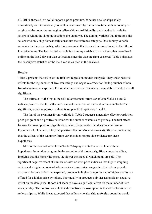al., 2017), these sellers could impose a price premium. Whether a seller ships solely domestically or internationally as well is determined by the information on their country of origin and the countries and region sellers ship to. Additionally, a distinction is made for sellers of whom the shipping locations are unknown. The dummy variable that represents the sellers who only ship domestically constitute the reference category. One dummy variable accounts for the poor quality, which is a comment that is sometimes mentioned in the titles of low price items. The last control variable is a dummy variable to mark items that were listed online on the last 2 days of data collection, since the data are right censored. Table 1 displays the descriptive statistics of the main variables used in the analyses.

# **Results**

Table 2 presents the results of the first two regression models analysed. They show positive effects for the log number of five-star ratings and negative effects for the log number of nonfive-star ratings, as expected. The reputation score coefficients in the models of Table 2 are all significant.

The estimates of the log of the self-advertisement forum variable in Models 1 and 2 indicate positive effects. Both coefficients of the self-advertisement variable in Table 2 are significant, which suggests that there is support for Hypotheses 1 and 2.

The log of the scammer forum variable in Table 2 suggests a negative effect towards item price per gram and a positive outcome for the number of item sales per day. The first effect follows the assumption of Hypothesis 3, while the second effect does not conform to Hypothesis 4. However, solely the positive effect of Model 4 shows significance, indicating that the effects of the scammer forum variable does not provide evidence for these hypotheses.

 Most of the control variables in Table 2 display effects that are in line with the hypotheses. Item price per gram in the second model shows a significant negative effect, implying that the higher the price, the slower the speed at which items are sold. The significant negative effect of number of sales on item price indicates that higher weighing orders and a higher amount of sales creates a lower price, suggesting that sellers provide discounts for bulk orders. As expected, products in higher categories and of higher quality are offered for a higher price by sellers. Poor quality in products only has a significant negative effect on the item price. It does not seem to have a significant effect on the number of item sales per day. The control variable that differs from its assumption is that of the location that sellers ships to. While it was expected that sellers who also ship to foreign countries would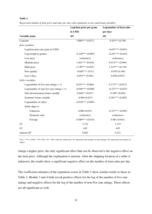#### **Table 2**

*Seller variables* 

Seller ships to

|                    | per day)            |
|--------------------|---------------------|
|                    | M <sub>2</sub>      |
| $3.000***(0.017)$  | $0.435**$ $(0.165)$ |
|                    |                     |
|                    | $-0.651***(0.053)$  |
| $-0.220***(0.005)$ | $-0.451***(0.018)$  |
| (reference)        | (reference)         |
| $1.461***(0.018)$  | $0.914***(0.095)$   |
|                    | in USD)<br>M1       |

High price 2.149\*\*\* (0.025) 1.415\*\*\* (0.136) Poor quality  $-0.885^{***}$  (0.51)  $-0.070$  (0.160) Last 2 days 0.053<sup>\*\*</sup> (0.016) 0.058 (0.047)

Log(number of five-star ratings + 1)  $0.033***(0.004)$   $0.172***(0.013)$ Log(number of non-five-star ratings + 1)  $-0.040*** (0.008)$   $-0.237*** (0.023)$ Self-advertisement forum variable  $0.046** (0.017)$   $0.109*(0.050)$ Scammer forum variable  $-0.004 (0.017)$   $0.201*** (0.050)$ 

Unknown 0.000 (0.031) -0.327\*\*\* (0.092) Domestic only (reference) (reference) (reference) (reference) Foreign  $-0.089*** (0.014)$   $0.001 (0.041)$ 

Log(number of sales)  $-0.018***(0.005)$ 

*Regression models of item price and sales per day with reputation scores and forum variables*

*Note:* \*\*\*P < 0.001, \*\*P < 0.01, \*P < 0.05, with two-sided tests. N1 represents the number of item listings. N2 represents the number of sellers.

*N1* 3,153 3,153 3,153 *N2* 445 445 *Adjusted*  $R^2$  0.883 0.221

charge a higher price, the only significant effect that can be observed is the negative effect on the item price. Although the explanation is unclear, when the shipping location of a seller is unknown, the results show a significant negative effect on the number of item sales per day.

The coefficient estimates of the reputation scores in Table 3 show similar results to those in Table 2. Models 3 and 4 both reveal positive effects for the log of the number of five-star ratings and negative effects for the log of the number of non-five-star ratings. These effects are all significant as well.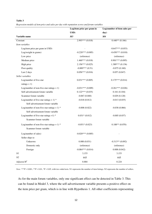#### **Table 3**

*Regression models of item price and sales per day with reputation scores and forum variables*

|                                              | Log(item price per gram in | Log(number of item sales per |
|----------------------------------------------|----------------------------|------------------------------|
|                                              | USD)                       | day)                         |
| Variable name                                | M3                         | M4                           |
| Constant                                     | $2.993***(0.018)$          | $0.440**$ (0.166)            |
| Item variables                               |                            |                              |
| Log(item price per gram in USD)              |                            | $-0.647***(0.053)$           |
| Log(weight in grams)                         | $-0.220***(0.005)$         | $-0.450***(0.018)$           |
| Low price                                    | (reference)                | (reference)                  |
| Medium price                                 | $1.460***(0.018)$          | $0.901***(0.095)$            |
| High price                                   | $2.156***(0.025)$          | $1.389***(0.136)$            |
| Poor quality                                 | $-0.889***(0.51)$          | $-0.075(0.160)$              |
| Last 2 days                                  | $0.056***(0.016)$          | 0.057(0.047)                 |
| Seller variables                             |                            |                              |
| Log(number of five-star                      | $0.031***(0.005)$          | $0.175***(0.014)$            |
| ratings $+1$ )                               |                            |                              |
| Log(number of non-five-star ratings $+1$ )   | $-0.031***$ (0.009)        | $-0.261***(0.026)$           |
| Self-advertisement forum variable            | $0.122***(0.035)$          | 0.161(0.104)                 |
| Scammer forum variable                       | $-0.067(0.040)$            | 0.029(0.120)                 |
| Log(number of five-star ratings + 1) $*$     | $-0.018(0.012)$            | $-0.013(0.035)$              |
| Self-advertisement forum variable            |                            |                              |
| Log(number of non-five-star ratings + 1) $*$ | $-0.008(0.022)$            | $-0.038(0.066)$              |
| Self-advertisement forum variable            |                            |                              |
| Log(number of five-star ratings $+1$ ) *     | $0.031*(0.012)$            | $-0.005(0.037)$              |
| Scammer forum variable                       |                            |                              |
| Log(number of non-five-star ratings + 1) $*$ | $-0.051*(0.023)$           | $0.188**$ $(0.070)$          |
| Scammer forum variable                       |                            |                              |
| Log(number of sales)                         | $-0.020***$ (0.005)        |                              |
| Seller ships to                              |                            |                              |
| Unknown                                      | 0.000(0.031)               | $-0.313**$ (0.092)           |
| Domestic only                                | (reference)                | (reference)                  |
| Foreign                                      | $-0.084***(0.014)$         | 0.008(0.042)                 |
| Νl                                           | 3,153                      | 3,153                        |
| ${\it N2}$                                   | 445                        | 445                          |
| Adjusted $R^2$                               | 0.884                      | 0.224                        |

*Note:* \*\*\*P < 0.001, \*\*P < 0.01, \*P < 0.05, with two-sided tests. N1 represents the number of item listings. N2 represents the number of sellers.

As for the main forum variables, only one significant effect can be detected in Table 3. This can be found in Model 3, where the self-advertisement variable presents a positive effect on the item price per gram, which is in line with Hypothesis 1. All other coefficients representing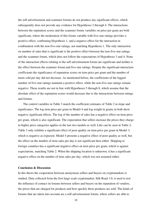the self-advertisement and scammer forums do not produce any significant effects, which subsequently does not provide any evidence for Hypotheses 2 through 4. The interactions between the reputation scores and the scammer forum variables on price per gram are both significant, where the moderation of this forum variable with five-star ratings provides a positive effect, confirming Hypothesis 1, and a negative effect for the interaction in combination with the non-five-star ratings, not matching Hypothesis 1. The only interaction on number of sales that is significant is the positive effect between the non-five-star ratings and the scammer forum, which does not follow the expectations of Hypotheses 3 and 4. None of the interaction effects relating to the self-advertisement forum are significant and neither is the effect between the scammer forum and five-star ratings. Despite the significant interaction coefficients the significance of reputation scores on item price per gram and the number of items sold per day did not decrease. As mentioned before, the coefficients of the logged number of five-star ratings maintain a positive effect, while the non-five-star ratings remain negative. These results are not in line with Hypotheses 5 through 8, which assume that the absolute effect of the reputation scores would decrease due to the interactions between ratings and forums.

The control variables in Table 3 match the coefficient estimates of Table 2 in slope and significance. The log item price per gram in Model 4 and log weight in grams in both show negative significant effects. The log of the number of sales has a negative effect on item price per gram, which is also significant. The expectation that sellers increase the prices they charge in higher price categories applies in the last two models as well. Like can be seen in Table 2, Table 3 only exhibits a significant effect of poor quality on item price per gram in Model 3, which is negative as expected. Model 4 presents a negative effect of poor quality as well, but the effect on the number of item sales per day is not significant here either. Shipping to foreign countries has a significant negative effect on item price per gram, which is against expectations, matching Table 2. When the shipping location is unknown, it has a significant negative effect on the number of item sales per day, which was not assumed either.

## **Conclusion & Discussion**

In this thesis the cooperation between anonymous sellers and buyers on cryptomarkets is studied. Data collected from the first large-scale cryptomarket, Silk Road 1.0, is used to test the influence of contact on forums between sellers and buyers on the reputation of vendors, the prices that are charged for products and how quickly these products are sold. The kinds of forums that are taken into account are a self-advertisement forum, where sellers are able to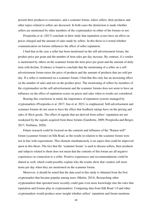present their products to customers, and a scammer forum, where sellers, their products and other topics related to sellers are discussed. In both cases the distinction is made whether sellers are mentioned by other members of the cryptomarket on either of the forums or not.

 Przepiorka et al. (2017) conclude in their study that reputation scores have an effect on prices charged and the amount of sales made by sellers. In this thesis it is tested whether communication on forums influences the effect of seller reputation.

 I find that in the case a seller has been mentioned on the self-advertisement forum, the product price per gram and the number of item sales per day increase. By contrast, if a vendor is mentioned by others on the scammer forum the item price per gram and the amount of daily item sold decline. Evidence is found to conclude that the mentioning of a seller on a selfadvertisement forum raises the price of products and the amount of products that are sold per day. If a seller is mentioned on a scammer forum, I find that this only has an increasing effect on the number of sales and not on the product price. The mentioning of sellers by members of the cryptomarket on the self-advertisement and the scammer forums does not seem to have an influence on the effect of reputation scores on prices and sales when to results are considered.

 Bearing this conclusion in mind, the importance of reputation systems managed by cryptomarkets (Przepiorka et al. 2017; Jiao et al. 2021) is emphasized. Self-advertisement and scammer forums do not seem to have the effect that feedback ratings have on the pricing and sales of illicit goods. The effect of signals that are derived from sellers' reputation are not weakened by the signals acquired from these forums (Gambetta, 2009; Przepiorka and Berger, 2017; Norbutas, 2020).

 Future research could be focused on the contents and influence of the "Rumor mill" forum (scammer forum) on Silk Road, as the results in relation to the scammer forum were not in line with expectations. This element simultaneously is an aspect that could be improved upon in this thesis. The fact that the 'scammer forum' is used to discuss sellers, their products and subjects related to them does not mean that the contents of this forum are all negative experiences in connection to a seller. Positive experiences and recommendations could be shared as well, which could possibly explain why the results show that vendors sell more items per day when they are mentioned on the scammer forum.

 Moreover, it should be noted that the data used in this study is obtained from the first cryptomarket that became popular among users (Martin, 2014). Researching other cryptomarkets that operated more recently could gain even more knowledge into the roles that reputation and forums play in cryptomarkets. Comparing data from Silk Road 1.0 and other cryptomarkets would produce more insight whether sellers' reputation and forum mentions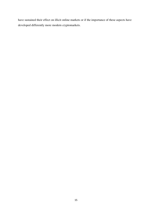have sustained their effect on illicit online markets or if the importance of these aspects have developed differently more modern cryptomarkets.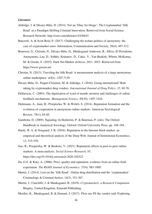#### *Literature*

- Aldridge, J. & Décary-Hétu, D. (2014). Not an 'Ebay for Drugs': The Cryptomarket 'Silk Road' as a Paradigm Shifting Criminal Innovation. Retrieved from Social Science Research Network: http://ssrn.com/abstract=2436643
- Bancroft, A. & Scott Reid, P. (2017). Challenging the techno-politics of anonymity: the case of cryptomarket users. Information, Communication and Society, 20(4), 497-512.
- Branwen, G., Christin, N., Décary-Hétu, D., Munksgaard Andersen, R., StExo, El Presidente, Anonymous, Lau, D., Sohhlz, Kratunov, D., Cakic, V., Van Buskirk, Whom, McKenna, M. & Goode, S. (2015). Dark Net Market archives, 2011–2015. Retrieved from [https://www.gwern.net](https://www.gwern.net/)
- Christin, N. (2013). Traveling the Silk Road: A measurement analysis of a large anonymous online marketplace. arXiv, 1207.7139.
- Décary-Hétu, D., Paquet-Clouston, M. & Aldridge, J. (2016). Going international? Risk taking by cryptomarket drug vendors. *International Journal of Drug Policy*, *35*, 69-76.
- Dellarocas, C. (2003). The digitization of word of mouth: promise and challenges of online feedback mechanisms. *Management Science, 49*(10), 1407-1424.
- Diekmann, A., Jann, B., Przepiorka, W. & Wehrli, S. (2014). Reputation formation and the evolution of cooperation in anonymous online markets. American Sociological Review, 79(1), 65-85.
- Gambetta, D. (2009). Signaling. In Hedström, P. & Bearman, P. (eds), The Oxford Handbook in Analytical Sociology. Oxford: Oxford University Press, pp. 168-194.
- Hardy, R. A. & Norgaard, J. R. (2016). Reputation in the Internet black market: an empirical and theoretical analysis of the Deep Web. Journal of Institutional Economics, 12, 515-539.
- Jiao, R., Przepiorka, W. & Buskens, V. (2021). Reputation effects in peer-to-peer online markets: A meta-analysis. *Social Science Research, 95*, <https://doi.org/10.1016/j.ssresearch.2020.102522>
- Jin, G.Z. & Kato, A. (2006). Price, quality and reputation: evidence from an online field experiment. *The RAND Journal of Economics. 37*(4), 983-1005.
- Martin, J. (2014). Lost on the 'Silk Road': Online drug distribution and the 'cryptomarket'. Criminology & Criminal Justice, 14(3), 351-367.
- Martin, J., Cuncliffe, J. & Munksgaard, R. (2019). *Cryptomarkets: a Research Companion*. Bingley, United Kingdom: Emerald Publishing.
- Moeller, K., Munksgaard, R. & Demant, J. (2017). Flow my FE the vendor said: Exploring